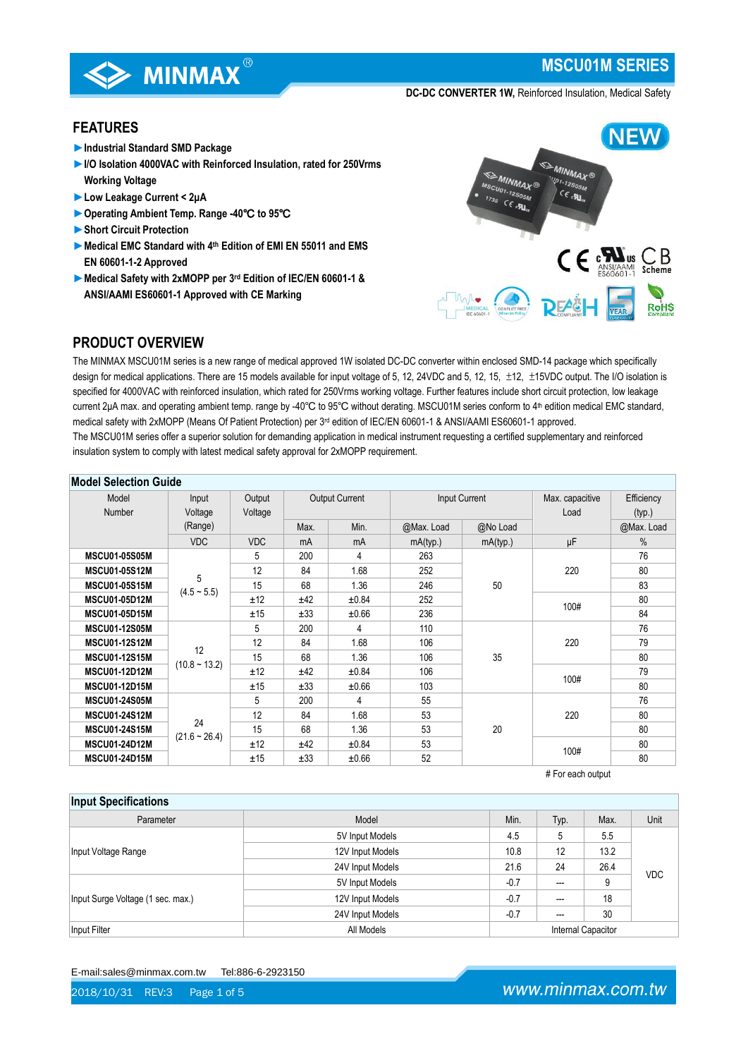

**MSCU01M SERIES**

**DC-DC CONVERTER 1W,** Reinforced Insulation, Medical Safety

# **FEATURES**

- ►**Industrial Standard SMD Package**
- ►**I/O Isolation 4000VAC with Reinforced Insulation, rated for 250Vrms Working Voltage**
- ►**Low Leakage Current < 2μA**
- ►**Operating Ambient Temp. Range -40**℃ **to 95**℃
- ►**Short Circuit Protection**
- ►**Medical EMC Standard with 4th Edition of EMI EN 55011 and EMS EN 60601-1-2 Approved**
- ►**Medical Safety with 2xMOPP per 3rd Edition of IEC/EN 60601-1 & ANSI/AAMI ES60601-1 Approved with CE Marking**



# **PRODUCT OVERVIEW**

The MINMAX MSCU01M series is a new range of medical approved 1W isolated DC-DC converter within enclosed SMD-14 package which specifically design for medical applications. There are 15 models available for input voltage of 5, 12, 24VDC and 5, 12, 15,  $\pm$ 12,  $\pm$ 15VDC output. The I/O isolation is specified for 4000VAC with reinforced insulation, which rated for 250Vrms working voltage. Further features include short circuit protection, low leakage current 2μA max. and operating ambient temp. range by -40℃ to 95℃ without derating. MSCU01M series conform to 4 th edition medical EMC standard, medical safety with 2xMOPP (Means Of Patient Protection) per 3<sup>rd</sup> edition of IEC/EN 60601-1 & ANSI/AAMI ES60601-1 approved. The MSCU01M series offer a superior solution for demanding application in medical instrument requesting a certified supplementary and reinforced insulation system to comply with latest medical safety approval for 2xMOPP requirement.

| <b>Model Selection Guide</b> |                                                                                 |            |      |                         |                      |          |             |            |
|------------------------------|---------------------------------------------------------------------------------|------------|------|-------------------------|----------------------|----------|-------------|------------|
| Model<br>Number              | <b>Output Current</b><br>Input Current<br>Input<br>Output<br>Voltage<br>Voltage |            |      | Max. capacitive<br>Load | Efficiency<br>(typ.) |          |             |            |
|                              | (Range)                                                                         |            | Max. | Min.                    | @Max. Load           | @No Load |             | @Max. Load |
|                              | <b>VDC</b>                                                                      | <b>VDC</b> | mA   | mA                      | mA(typ.)             | mA(typ.) | μF          | $\%$       |
| <b>MSCU01-05S05M</b>         |                                                                                 | 5          | 200  | 4                       | 263                  |          |             | 76         |
| <b>MSCU01-05S12M</b>         |                                                                                 | 12         | 84   | 1.68                    | 252                  | 50       | 220<br>100# | 80         |
| <b>MSCU01-05S15M</b>         | 5                                                                               | 15         | 68   | 1.36                    | 246                  |          |             | 83         |
| <b>MSCU01-05D12M</b>         | $(4.5 \sim 5.5)$                                                                | ±12        | ±42  | ±0.84                   | 252                  |          |             | 80         |
| <b>MSCU01-05D15M</b>         |                                                                                 | ±15        | ±33  | ±0.66                   | 236                  |          |             | 84         |
| <b>MSCU01-12S05M</b>         |                                                                                 | 5          | 200  | 4                       | 110                  | 35       | 220<br>100# | 76         |
| <b>MSCU01-12S12M</b>         |                                                                                 | 12         | 84   | 1.68                    | 106                  |          |             | 79         |
| <b>MSCU01-12S15M</b>         | 12<br>$(10.8 - 13.2)$                                                           | 15         | 68   | 1.36                    | 106                  |          |             | 80         |
| <b>MSCU01-12D12M</b>         |                                                                                 | ±12        | ±42  | ±0.84                   | 106                  |          |             | 79         |
| <b>MSCU01-12D15M</b>         |                                                                                 | ±15        | ±33  | $\pm 0.66$              | 103                  |          |             | 80         |
| <b>MSCU01-24S05M</b>         |                                                                                 | 5          | 200  | 4                       | 55                   |          |             | 76         |
| <b>MSCU01-24S12M</b>         |                                                                                 | 12         | 84   | 1.68                    | 53                   |          | 220         | 80         |
| <b>MSCU01-24S15M</b>         | 24                                                                              | 15         | 68   | 1.36                    | 53                   | 20       |             | 80         |
| <b>MSCU01-24D12M</b>         | $(21.6 - 26.4)$                                                                 | ±12        | ±42  | ±0.84                   | 53                   |          |             | 80         |
| <b>MSCU01-24D15M</b>         |                                                                                 | ±15        | ±33  | ±0.66                   | 52                   |          | 100#        | 80         |

# For each output

| <b>Input Specifications</b>       |                  |                    |      |      |            |
|-----------------------------------|------------------|--------------------|------|------|------------|
| Parameter                         | Model            | Min.               | Typ. | Max. | Unit       |
|                                   | 5V Input Models  | 4.5                | 5    | 5.5  |            |
| Input Voltage Range               | 12V Input Models | 10.8               | 12   | 13.2 |            |
|                                   | 24V Input Models | 21.6               | 24   | 26.4 | <b>VDC</b> |
|                                   | 5V Input Models  | $-0.7$             | ---  | 9    |            |
| Input Surge Voltage (1 sec. max.) | 12V Input Models | $-0.7$             | ---  | 18   |            |
|                                   | 24V Input Models | $-0.7$             | ---  | 30   |            |
| Input Filter                      | All Models       | Internal Capacitor |      |      |            |

E-mail:sales@minmax.com.tw Tel:886-6-2923150

2018/10/31 REV:3 Page 1 of 5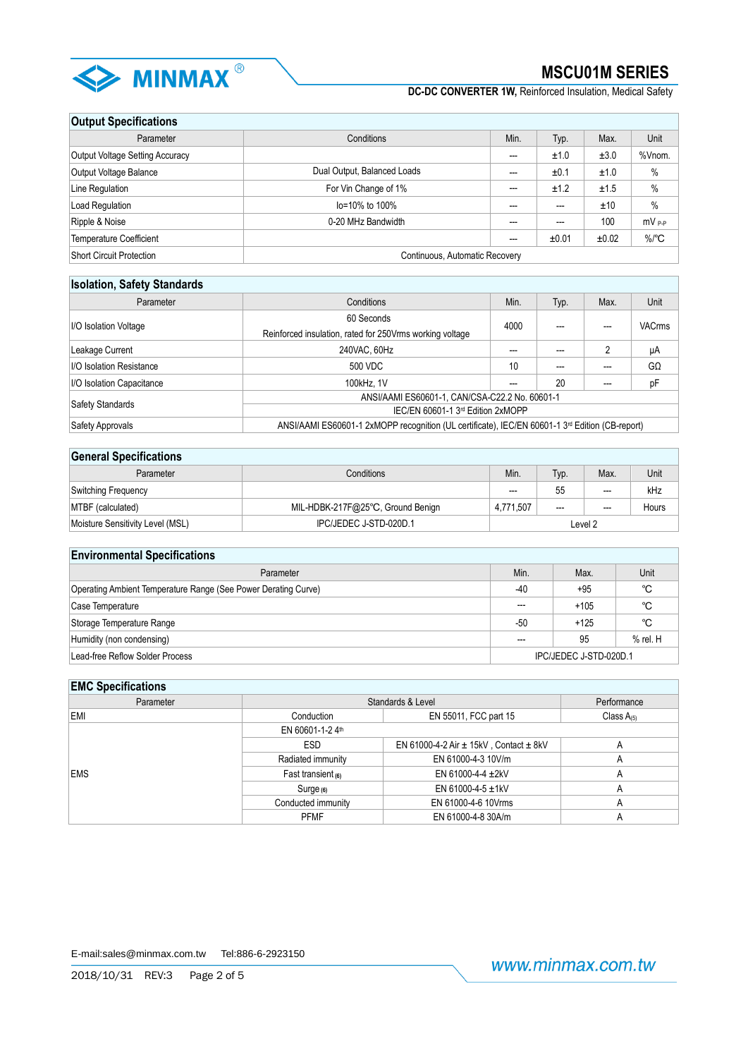

**DC-DC CONVERTER 1W,** Reinforced Insulation, Medical Safety

# **Output Specifications**

| Parameter                                                  | Conditions                  | Min. | Typ.  | Max.  | Unit                |  |
|------------------------------------------------------------|-----------------------------|------|-------|-------|---------------------|--|
| <b>Output Voltage Setting Accuracy</b>                     |                             | ---  | ±1.0  | ±3.0  | %Vnom.              |  |
| Output Voltage Balance                                     | Dual Output, Balanced Loads | ---  | ±0.1  | ±1.0  | $\%$                |  |
| Line Regulation                                            | For Vin Change of 1%        | ---  | ±1.2  | ±1.5  | $\%$                |  |
| Load Regulation                                            | lo=10% to 100%              | ---  |       | ±10   | $\frac{0}{0}$       |  |
| Ripple & Noise                                             | 0-20 MHz Bandwidth          | ---  | ---   | 100   | mV <sub>P-P</sub>   |  |
| <b>Temperature Coefficient</b>                             |                             | $--$ | ±0.01 | ±0.02 | $\%$ <sup>o</sup> C |  |
| Short Circuit Protection<br>Continuous, Automatic Recovery |                             |      |       |       |                     |  |

# **Isolation, Safety Standards**

| Parameter                                  | Conditions                                                                                                  |      | Typ. | Max. | Unit          |  |
|--------------------------------------------|-------------------------------------------------------------------------------------------------------------|------|------|------|---------------|--|
|                                            | 60 Seconds                                                                                                  |      |      |      |               |  |
| I/O Isolation Voltage                      | Reinforced insulation, rated for 250Vrms working voltage                                                    | 4000 |      |      | <b>VACrms</b> |  |
| 240VAC, 60Hz<br>Leakage Current            |                                                                                                             | ---  |      | 2    | μA            |  |
| <b>I/O Isolation Resistance</b><br>500 VDC |                                                                                                             | 10   |      |      | $G\Omega$     |  |
| I/O Isolation Capacitance                  | 100kHz, 1V                                                                                                  | ---  | 20   |      | pF            |  |
|                                            | ANSI/AAMI ES60601-1, CAN/CSA-C22.2 No. 60601-1                                                              |      |      |      |               |  |
| <b>Safety Standards</b>                    | IEC/EN 60601-1 3rd Edition 2xMOPP                                                                           |      |      |      |               |  |
| Safety Approvals                           | ANSI/AAMI ES60601-1 2xMOPP recognition (UL certificate), IEC/EN 60601-1 3 <sup>rd</sup> Edition (CB-report) |      |      |      |               |  |

## **General Specifications**

| Conditions<br>Parameter          |                                   | Min.      | Typ.  | Max.    | Unit  |
|----------------------------------|-----------------------------------|-----------|-------|---------|-------|
| Switching Frequency              |                                   | $---$     | 55    | $- - -$ | kHz   |
| MTBF (calculated)                | MIL-HDBK-217F@25°C, Ground Benign | 4.771.507 | $---$ | $---$   | Hours |
| Moisture Sensitivity Level (MSL) | IPC/JEDEC J-STD-020D.1            | Level 2   |       |         |       |

# **Environmental Specifications**

| Parameter                                                      | Min.  | Max.                   | Unit         |
|----------------------------------------------------------------|-------|------------------------|--------------|
| Operating Ambient Temperature Range (See Power Derating Curve) | $-40$ | $+95$                  | °C           |
| Case Temperature                                               | ---   | $+105$                 | °C           |
| Storage Temperature Range                                      | -50   | $+125$                 | °C           |
| Humidity (non condensing)                                      | ---   | 95                     | $%$ rel. $H$ |
| Lead-free Reflow Solder Process                                |       | IPC/JEDEC J-STD-020D.1 |              |

# **EMC Specifications**

| Parameter  | Standards & Level  | Performance                                    |                 |
|------------|--------------------|------------------------------------------------|-----------------|
| <b>EMI</b> | Conduction         | EN 55011, FCC part 15                          | Class $A_{(5)}$ |
|            | EN 60601-1-24th    |                                                |                 |
|            | ESD                | EN 61000-4-2 Air $\pm$ 15kV, Contact $\pm$ 8kV | A               |
|            | Radiated immunity  | EN 61000-4-3 10V/m                             | $\mathsf{A}$    |
| <b>EMS</b> | Fast transient (6) | EN 61000-4-4 $\pm$ 2kV                         | A               |
|            | Surge (6)          | EN 61000-4-5 $\pm$ 1kV                         | A               |
|            | Conducted immunity | EN 61000-4-6 10Vrms                            | A               |
|            | <b>PFMF</b>        | EN 61000-4-8 30A/m                             | A               |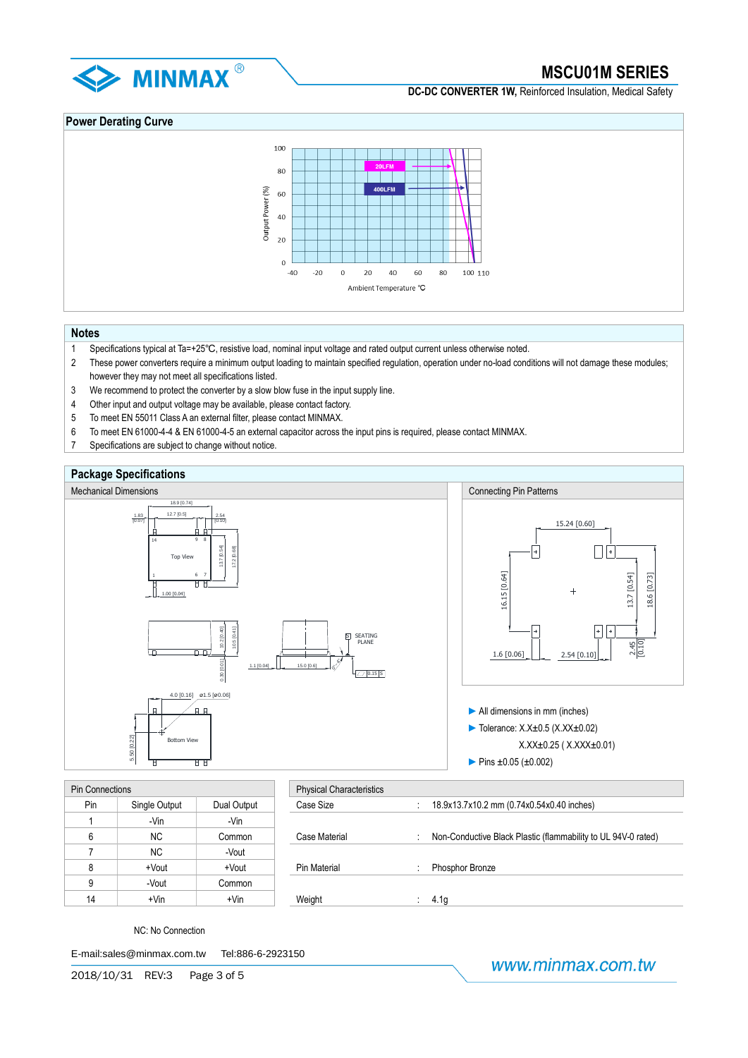

**DC-DC CONVERTER 1W.** Reinforced Insulation, Medical Safety

# **Power Derating Curve**



# **Notes**

- 1 Specifications typical at Ta=+25℃, resistive load, nominal input voltage and rated output current unless otherwise noted.
- 2 These power converters require a minimum output loading to maintain specified regulation, operation under no-load conditions will not damage these modules; however they may not meet all specifications listed.
- 3 We recommend to protect the converter by a slow blow fuse in the input supply line.
- 4 Other input and output voltage may be available, please contact factory.
- 5 To meet EN 55011 Class A an external filter, please contact MINMAX.
- 6 To meet EN 61000-4-4 & EN 61000-4-5 an external capacitor across the input pins is required, please contact MINMAX.
- 7 Specifications are subject to change without notice.



| <b>Pin Connections</b> |               |             | <b>Physical Characteristics</b> |                  |
|------------------------|---------------|-------------|---------------------------------|------------------|
| Pin                    | Single Output | Dual Output | Case Size                       | 18.9x13.7x10.2 n |
|                        | -Vin          | -Vin        |                                 |                  |
| 6                      | ΝC            | Common      | Case Material                   | Non-Conductive I |
|                        | <b>NC</b>     | -Vout       |                                 |                  |
| 8                      | +Vout         | +Vout       | Pin Material                    | Phosphor Bronze  |
| 9                      | -Vout         | Common      |                                 |                  |
| 14                     | $+V$ in       | $+V$ in     | Weight                          | 4.1q             |

| Connections |               |             | <b>Physical Characteristics</b> |                                                               |
|-------------|---------------|-------------|---------------------------------|---------------------------------------------------------------|
| Pin         | Single Output | Dual Output | Case Size                       | 18.9x13.7x10.2 mm (0.74x0.54x0.40 inches)                     |
|             | -Vin          | -Vin        |                                 |                                                               |
| 6           | <b>NC</b>     | Common      | Case Material                   | Non-Conductive Black Plastic (flammability to UL 94V-0 rated) |
|             | <b>NC</b>     | -Vout       |                                 |                                                               |
| 8           | +Vout         | +Vout       | Pin Material                    | Phosphor Bronze                                               |
| 9           | -Vout         | Common      |                                 |                                                               |
| 14          | $+V$ in       | $+V$ in     | Weight                          | 4.1q                                                          |

NC: No Connection

E-mail:sales@minmax.com.tw Tel:886-6-2923150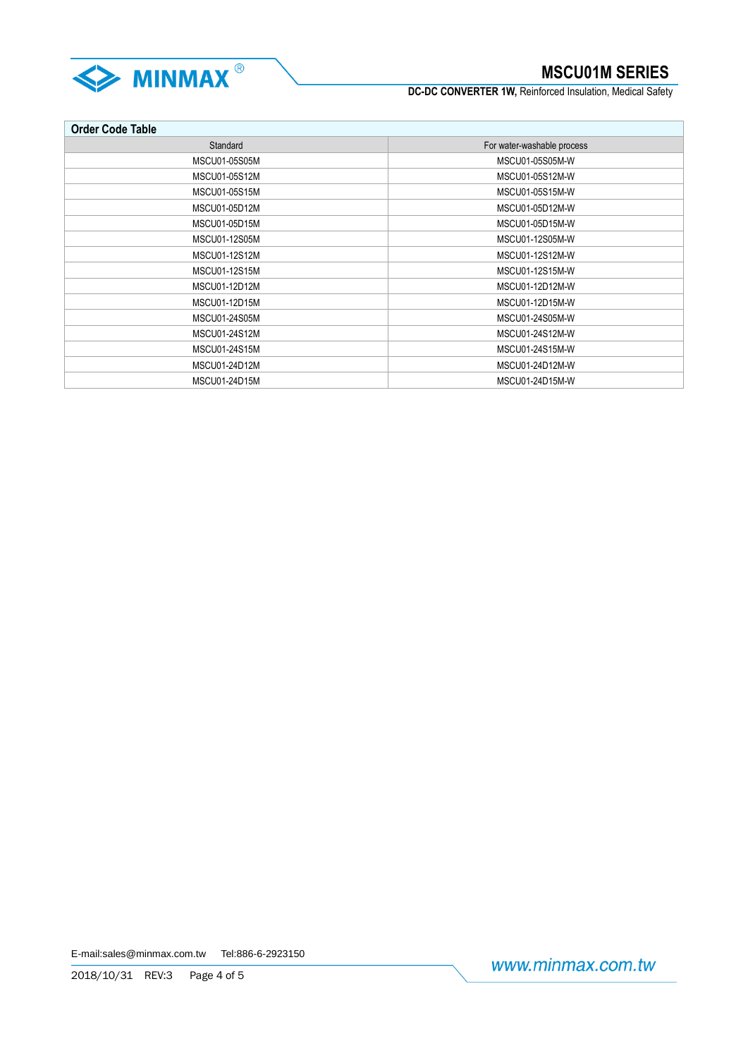

**DC-DC CONVERTER 1W, Reinforced Insulation, Medical Safety** 

| <b>Order Code Table</b> |                            |  |  |  |  |
|-------------------------|----------------------------|--|--|--|--|
| Standard                | For water-washable process |  |  |  |  |
| MSCU01-05S05M           | MSCU01-05S05M-W            |  |  |  |  |
| MSCU01-05S12M           | MSCU01-05S12M-W            |  |  |  |  |
| MSCU01-05S15M           | MSCU01-05S15M-W            |  |  |  |  |
| MSCU01-05D12M           | MSCU01-05D12M-W            |  |  |  |  |
| MSCU01-05D15M           | MSCU01-05D15M-W            |  |  |  |  |
| MSCU01-12S05M           | MSCU01-12S05M-W            |  |  |  |  |
| MSCU01-12S12M           | MSCU01-12S12M-W            |  |  |  |  |
| MSCU01-12S15M           | MSCU01-12S15M-W            |  |  |  |  |
| MSCU01-12D12M           | MSCU01-12D12M-W            |  |  |  |  |
| MSCU01-12D15M           | MSCU01-12D15M-W            |  |  |  |  |
| MSCU01-24S05M           | MSCU01-24S05M-W            |  |  |  |  |
| MSCU01-24S12M           | MSCU01-24S12M-W            |  |  |  |  |
| MSCU01-24S15M           | MSCU01-24S15M-W            |  |  |  |  |
| MSCU01-24D12M           | MSCU01-24D12M-W            |  |  |  |  |
| MSCU01-24D15M           | MSCU01-24D15M-W            |  |  |  |  |

E-mail:sales@minmax.com.tw Tel:886-6-2923150